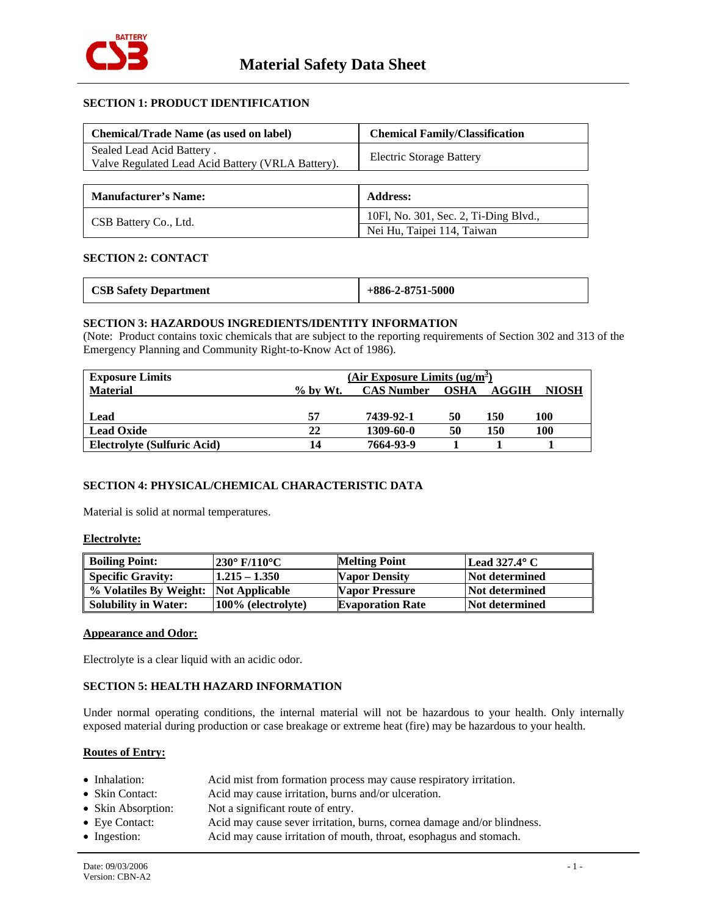

# **SECTION 1: PRODUCT IDENTIFICATION**

| <b>Chemical/Trade Name (as used on label)</b>                                  | <b>Chemical Family/Classification</b> |  |  |
|--------------------------------------------------------------------------------|---------------------------------------|--|--|
| Sealed Lead Acid Battery.<br>Valve Regulated Lead Acid Battery (VRLA Battery). | <b>Electric Storage Battery</b>       |  |  |
|                                                                                |                                       |  |  |
| <b>Manufacturer's Name:</b>                                                    | <b>Address:</b>                       |  |  |
| CSB Battery Co., Ltd.                                                          | 10Fl, No. 301, Sec. 2, Ti-Ding Blvd., |  |  |
|                                                                                | Nei Hu, Taipei 114, Taiwan            |  |  |

# **SECTION 2: CONTACT**

| <b>CSB Safety Department</b> | $+886-2-8751-5000$ |
|------------------------------|--------------------|
|                              |                    |

# **SECTION 3: HAZARDOUS INGREDIENTS/IDENTITY INFORMATION**

(Note: Product contains toxic chemicals that are subject to the reporting requirements of Section 302 and 313 of the Emergency Planning and Community Right-to-Know Act of 1986).

| <b>Exposure Limits</b>      | (Air Exposure Limits $(ug/m^2)$ |                   |             |       |              |
|-----------------------------|---------------------------------|-------------------|-------------|-------|--------------|
| <b>Material</b>             | $\%$ by Wt.                     | <b>CAS Number</b> | <b>OSHA</b> | AGGIH | <b>NIOSH</b> |
|                             |                                 |                   |             |       |              |
| Lead                        | 57                              | 7439-92-1         | 50          | 150   | 100          |
| <b>Lead Oxide</b>           | 22                              | 1309-60-0         | 50          | 150   | 100          |
| Electrolyte (Sulfuric Acid) | 14                              | 7664-93-9         |             |       |              |

# **SECTION 4: PHYSICAL/CHEMICAL CHARACTERISTIC DATA**

Material is solid at normal temperatures.

#### **Electrolyte:**

| <b>Boiling Point:</b>                 | 230° F/110°C       | <b>Melting Point</b>    | Lead $327.4^{\circ}$ C |
|---------------------------------------|--------------------|-------------------------|------------------------|
| <b>Specific Gravity:</b>              | $1.215 - 1.350$    | <b>Vapor Density</b>    | Not determined         |
| % Volatiles By Weight: Not Applicable |                    | <b>Vapor Pressure</b>   | Not determined         |
| <b>Solubility in Water:</b>           | 100% (electrolyte) | <b>Evaporation Rate</b> | Not determined         |

## **Appearance and Odor:**

Electrolyte is a clear liquid with an acidic odor.

# **SECTION 5: HEALTH HAZARD INFORMATION**

Under normal operating conditions, the internal material will not be hazardous to your health. Only internally exposed material during production or case breakage or extreme heat (fire) may be hazardous to your health.

# **Routes of Entry:**

| • Inhalation:          | Acid mist from formation process may cause respiratory irritation.      |
|------------------------|-------------------------------------------------------------------------|
| • Skin Contact:        | Acid may cause irritation, burns and/or ulceration.                     |
| • Skin Absorption:     | Not a significant route of entry.                                       |
| $\bullet$ Eye Contact: | Acid may cause sever irritation, burns, cornea damage and/or blindness. |
| $\bullet$ Ingestion:   | Acid may cause irritation of mouth, throat, esophagus and stomach.      |
|                        |                                                                         |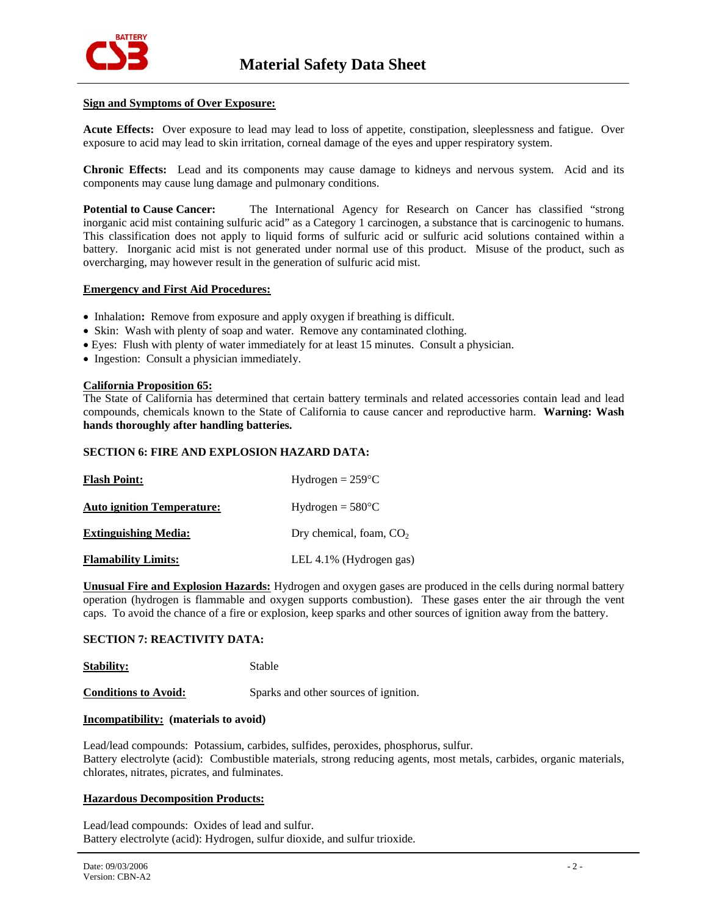

### **Sign and Symptoms of Over Exposure:**

**Acute Effects:** Over exposure to lead may lead to loss of appetite, constipation, sleeplessness and fatigue. Over exposure to acid may lead to skin irritation, corneal damage of the eyes and upper respiratory system.

**Chronic Effects:** Lead and its components may cause damage to kidneys and nervous system. Acid and its components may cause lung damage and pulmonary conditions.

**Potential to Cause Cancer:** The International Agency for Research on Cancer has classified "strong inorganic acid mist containing sulfuric acid" as a Category 1 carcinogen, a substance that is carcinogenic to humans. This classification does not apply to liquid forms of sulfuric acid or sulfuric acid solutions contained within a battery. Inorganic acid mist is not generated under normal use of this product. Misuse of the product, such as overcharging, may however result in the generation of sulfuric acid mist.

#### **Emergency and First Aid Procedures:**

- Inhalation: Remove from exposure and apply oxygen if breathing is difficult.
- Skin: Wash with plenty of soap and water. Remove any contaminated clothing.
- Eyes: Flush with plenty of water immediately for at least 15 minutes. Consult a physician.
- Ingestion: Consult a physician immediately.

#### **California Proposition 65:**

The State of California has determined that certain battery terminals and related accessories contain lead and lead compounds, chemicals known to the State of California to cause cancer and reproductive harm. **Warning: Wash hands thoroughly after handling batteries.**

### **SECTION 6: FIRE AND EXPLOSION HAZARD DATA:**

| <b>Flash Point:</b>               | Hydrogen = $259^{\circ}$ C |  |
|-----------------------------------|----------------------------|--|
| <b>Auto ignition Temperature:</b> | $Hydrogen = 580°C$         |  |
| <b>Extinguishing Media:</b>       | Dry chemical, foam, $CO2$  |  |
| <b>Flamability Limits:</b>        | LEL 4.1% (Hydrogen gas)    |  |

**Unusual Fire and Explosion Hazards:** Hydrogen and oxygen gases are produced in the cells during normal battery operation (hydrogen is flammable and oxygen supports combustion). These gases enter the air through the vent caps. To avoid the chance of a fire or explosion, keep sparks and other sources of ignition away from the battery.

#### **SECTION 7: REACTIVITY DATA:**

**Stability:** Stable

**Conditions to Avoid:** Sparks and other sources of ignition.

## **Incompatibility: (materials to avoid)**

Lead/lead compounds: Potassium, carbides, sulfides, peroxides, phosphorus, sulfur. Battery electrolyte (acid): Combustible materials, strong reducing agents, most metals, carbides, organic materials, chlorates, nitrates, picrates, and fulminates.

#### **Hazardous Decomposition Products:**

Lead/lead compounds: Oxides of lead and sulfur. Battery electrolyte (acid): Hydrogen, sulfur dioxide, and sulfur trioxide.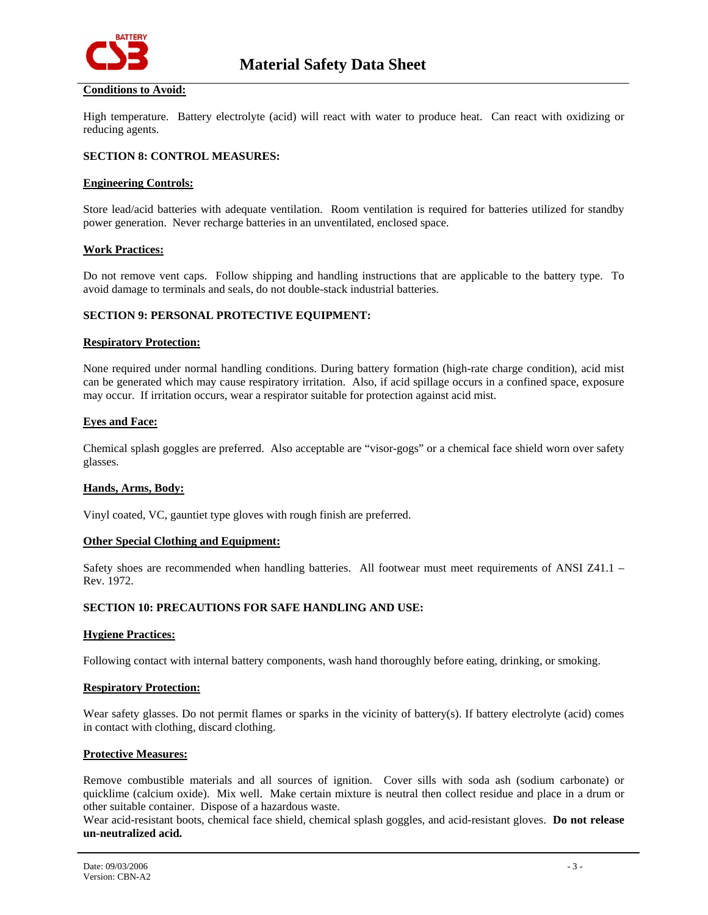

# **Conditions to Avoid:**

High temperature. Battery electrolyte (acid) will react with water to produce heat. Can react with oxidizing or reducing agents.

# **SECTION 8: CONTROL MEASURES:**

### **Engineering Controls:**

Store lead/acid batteries with adequate ventilation. Room ventilation is required for batteries utilized for standby power generation. Never recharge batteries in an unventilated, enclosed space.

#### **Work Practices:**

Do not remove vent caps. Follow shipping and handling instructions that are applicable to the battery type. To avoid damage to terminals and seals, do not double-stack industrial batteries.

## **SECTION 9: PERSONAL PROTECTIVE EQUIPMENT:**

#### **Respiratory Protection:**

None required under normal handling conditions. During battery formation (high-rate charge condition), acid mist can be generated which may cause respiratory irritation. Also, if acid spillage occurs in a confined space, exposure may occur. If irritation occurs, wear a respirator suitable for protection against acid mist.

#### **Eyes and Face:**

Chemical splash goggles are preferred. Also acceptable are "visor-gogs" or a chemical face shield worn over safety glasses.

#### **Hands, Arms, Body:**

Vinyl coated, VC, gauntiet type gloves with rough finish are preferred.

#### **Other Special Clothing and Equipment:**

Safety shoes are recommended when handling batteries. All footwear must meet requirements of ANSI Z41.1 – Rev. 1972.

#### **SECTION 10: PRECAUTIONS FOR SAFE HANDLING AND USE:**

#### **Hygiene Practices:**

Following contact with internal battery components, wash hand thoroughly before eating, drinking, or smoking.

### **Respiratory Protection:**

Wear safety glasses. Do not permit flames or sparks in the vicinity of battery(s). If battery electrolyte (acid) comes in contact with clothing, discard clothing.

#### **Protective Measures:**

Remove combustible materials and all sources of ignition. Cover sills with soda ash (sodium carbonate) or quicklime (calcium oxide). Mix well. Make certain mixture is neutral then collect residue and place in a drum or other suitable container. Dispose of a hazardous waste.

Wear acid-resistant boots, chemical face shield, chemical splash goggles, and acid-resistant gloves. **Do not release un-neutralized acid.**